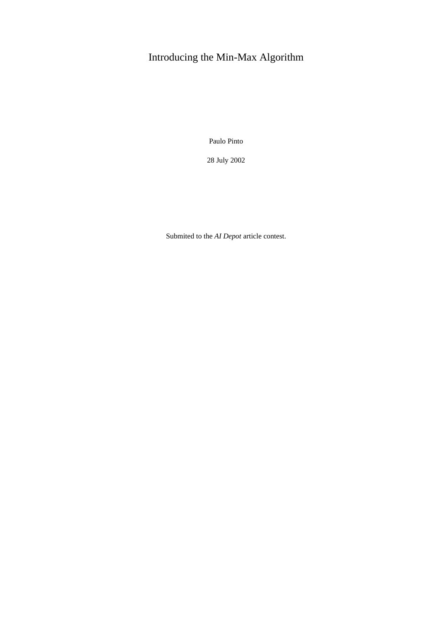# Introducing the Min-Max Algorithm

Paulo Pinto

28 July 2002

Submited to the *AI Depot* article contest.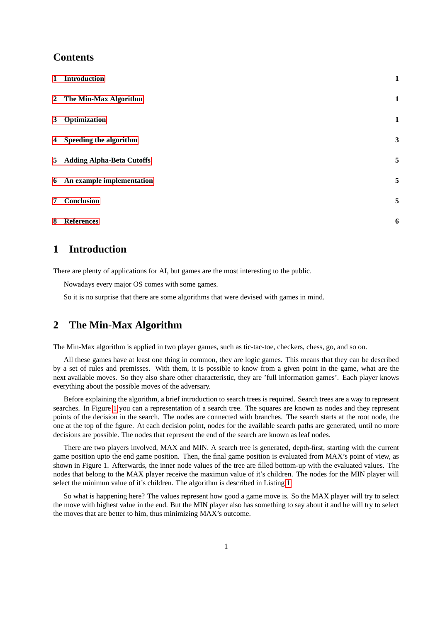### **Contents**

| 1 Introduction              | $\mathbf{1}$ |
|-----------------------------|--------------|
| 2 The Min-Max Algorithm     | $\mathbf{1}$ |
| 3 Optimization              | $\mathbf{1}$ |
| 4 Speeding the algorithm    | 3            |
| 5 Adding Alpha-Beta Cutoffs | 5            |
| 6 An example implementation | 5            |
| 7 Conclusion                | 5            |
| 8 References                | 6            |

# <span id="page-1-0"></span>**1 Introduction**

There are plenty of applications for AI, but games are the most interesting to the public.

Nowadays every major OS comes with some games.

So it is no surprise that there are some algorithms that were devised with games in mind.

## <span id="page-1-1"></span>**2 The Min-Max Algorithm**

The Min-Max algorithm is applied in two player games, such as tic-tac-toe, checkers, chess, go, and so on.

All these games have at least one thing in common, they are logic games. This means that they can be described by a set of rules and premisses. With them, it is possible to know from a given point in the game, what are the next available moves. So they also share other characteristic, they are 'full information games'. Each player knows everything about the possible moves of the adversary.

Before explaining the algorithm, a brief introduction to search trees is required. Search trees are a way to represent searches. In Figure [1](#page-5-0) you can a representation of a search tree. The squares are known as nodes and they represent points of the decision in the search. The nodes are connected with branches. The search starts at the root node, the one at the top of the figure. At each decision point, nodes for the available search paths are generated, until no more decisions are possible. The nodes that represent the end of the search are known as leaf nodes.

There are two players involved, MAX and MIN. A search tree is generated, depth-first, starting with the current game position upto the end game position. Then, the final game position is evaluated from MAX's point of view, as shown in Figure 1. Afterwards, the inner node values of the tree are filled bottom-up with the evaluated values. The nodes that belong to the MAX player receive the maximun value of it's children. The nodes for the MIN player will select the minimun value of it's children. The algorithm is described in Listing [1.](#page-2-1)

So what is happening here? The values represent how good a game move is. So the MAX player will try to select the move with highest value in the end. But the MIN player also has something to say about it and he will try to select the moves that are better to him, thus minimizing MAX's outcome.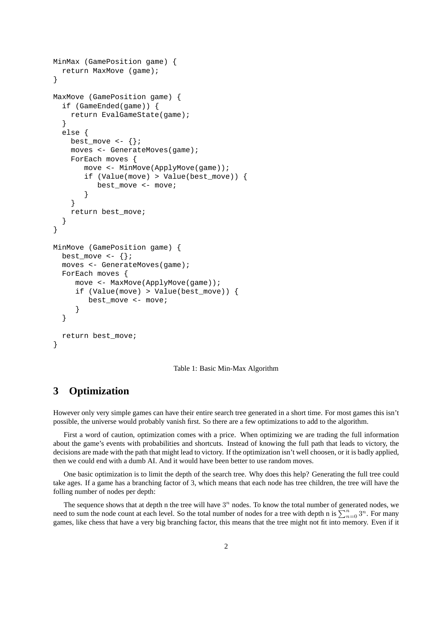```
MinMax (GamePosition game) {
  return MaxMove (game);
}
MaxMove (GamePosition game) {
  if (GameEnded(game)) {
    return EvalGameState(game);
  }
  else {
    best_move <- \{\}\;
    moves <- GenerateMoves(game);
    ForEach moves {
       move <- MinMove(ApplyMove(game));
       if (Value(move) > Value(best_move)) {
           best_move <- move;
        }
    }
    return best_move;
  }
}
MinMove (GamePosition game) {
  best_move \left\{ \cdot \right\} ;
  moves <- GenerateMoves(game);
  ForEach moves {
     move <- MaxMove(ApplyMove(game));
     if (Value(move) > Value(best_move)) {
        best move <- move;
     }
  }
  return best_move;
}
```
<span id="page-2-1"></span>Table 1: Basic Min-Max Algorithm

## <span id="page-2-0"></span>**3 Optimization**

However only very simple games can have their entire search tree generated in a short time. For most games this isn't possible, the universe would probably vanish first. So there are a few optimizations to add to the algorithm.

First a word of caution, optimization comes with a price. When optimizing we are trading the full information about the game's events with probabilities and shortcuts. Instead of knowing the full path that leads to victory, the decisions are made with the path that might lead to victory. If the optimization isn't well choosen, or it is badly applied, then we could end with a dumb AI. And it would have been better to use random moves.

One basic optimization is to limit the depth of the search tree. Why does this help? Generating the full tree could take ages. If a game has a branching factor of 3, which means that each node has tree children, the tree will have the folling number of nodes per depth:

The sequence shows that at depth n the tree will have  $3<sup>n</sup>$  nodes. To know the total number of generated nodes, we need to sum the node count at each level. So the total number of nodes for a tree with depth n is  $\sum_{n=0}^{n} 3^n$ . For many games, like chess that have a very big branching factor, this means that the tree might not fit into memory. Even if it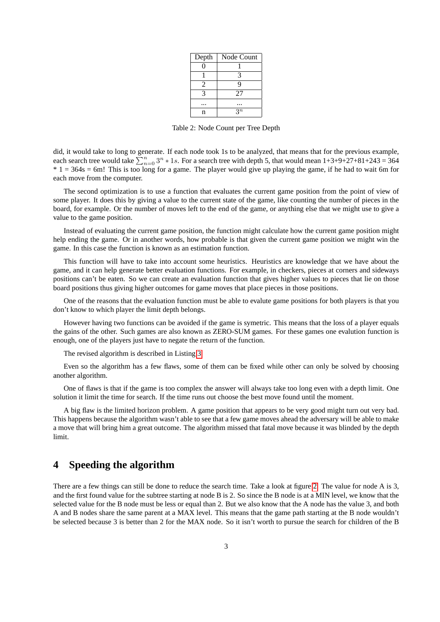| Depth | Node Count     |
|-------|----------------|
| 0     |                |
|       | 3              |
| 2     | 9              |
| 3     | 27             |
|       |                |
| n     | 2 <sub>n</sub> |

Table 2: Node Count per Tree Depth

did, it would take to long to generate. If each node took 1s to be analyzed, that means that for the previous example, each search tree would take  $\sum_{n=0}^{n} 3^n * 1s$ . For a search tree with depth 5, that would mean  $1+3+9+27+81+243=364$  $*$  1 = 364s = 6m! This is too long for a game. The player would give up playing the game, if he had to wait 6m for each move from the computer.

The second optimization is to use a function that evaluates the current game position from the point of view of some player. It does this by giving a value to the current state of the game, like counting the number of pieces in the board, for example. Or the number of moves left to the end of the game, or anything else that we might use to give a value to the game position.

Instead of evaluating the current game position, the function might calculate how the current game position might help ending the game. Or in another words, how probable is that given the current game position we might win the game. In this case the function is known as an estimation function.

This function will have to take into account some heuristics. Heuristics are knowledge that we have about the game, and it can help generate better evaluation functions. For example, in checkers, pieces at corners and sideways positions can't be eaten. So we can create an evaluation function that gives higher values to pieces that lie on those board positions thus giving higher outcomes for game moves that place pieces in those positions.

One of the reasons that the evaluation function must be able to evalute game positions for both players is that you don't know to which player the limit depth belongs.

However having two functions can be avoided if the game is symetric. This means that the loss of a player equals the gains of the other. Such games are also known as ZERO-SUM games. For these games one evalution function is enough, one of the players just have to negate the return of the function.

The revised algorithm is described in Listing [3.](#page-7-0)

Even so the algorithm has a few flaws, some of them can be fixed while other can only be solved by choosing another algorithm.

One of flaws is that if the game is too complex the answer will always take too long even with a depth limit. One solution it limit the time for search. If the time runs out choose the best move found until the moment.

A big flaw is the limited horizon problem. A game position that appears to be very good might turn out very bad. This happens because the algorithm wasn't able to see that a few game moves ahead the adversary will be able to make a move that will bring him a great outcome. The algorithm missed that fatal move because it was blinded by the depth limit.

# <span id="page-3-0"></span>**4 Speeding the algorithm**

There are a few things can still be done to reduce the search time. Take a look at figure [2.](#page-5-1) The value for node A is 3, and the first found value for the subtree starting at node B is 2. So since the B node is at a MIN level, we know that the selected value for the B node must be less or equal than 2. But we also know that the A node has the value 3, and both A and B nodes share the same parent at a MAX level. This means that the game path starting at the B node wouldn't be selected because 3 is better than 2 for the MAX node. So it isn't worth to pursue the search for children of the B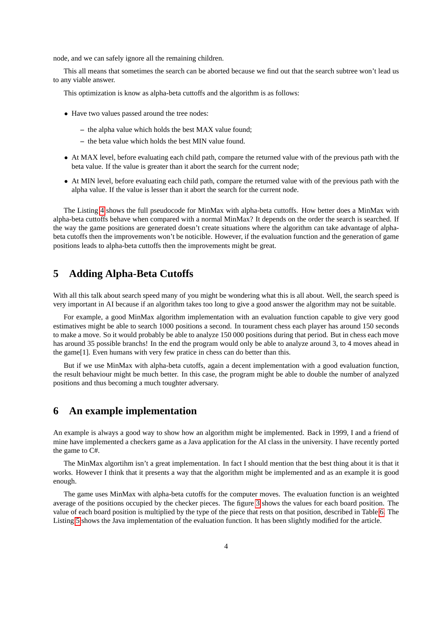node, and we can safely ignore all the remaining children.

This all means that sometimes the search can be aborted because we find out that the search subtree won't lead us to any viable answer.

This optimization is know as alpha-beta cuttoffs and the algorithm is as follows:

- Have two values passed around the tree nodes:
	- **–** the alpha value which holds the best MAX value found;
	- **–** the beta value which holds the best MIN value found.
- At MAX level, before evaluating each child path, compare the returned value with of the previous path with the beta value. If the value is greater than it abort the search for the current node;
- At MIN level, before evaluating each child path, compare the returned value with of the previous path with the alpha value. If the value is lesser than it abort the search for the current node.

The Listing [4](#page-8-0) shows the full pseudocode for MinMax with alpha-beta cuttoffs. How better does a MinMax with alpha-beta cuttoffs behave when compared with a normal MinMax? It depends on the order the search is searched. If the way the game positions are generated doesn't create situations where the algorithm can take advantage of alphabeta cutoffs then the improvements won't be noticible. However, if the evaluation function and the generation of game positions leads to alpha-beta cuttoffs then the improvements might be great.

#### <span id="page-4-0"></span>**5 Adding Alpha-Beta Cutoffs**

With all this talk about search speed many of you might be wondering what this is all about. Well, the search speed is very important in AI because if an algorithm takes too long to give a good answer the algorithm may not be suitable.

For example, a good MinMax algorithm implementation with an evaluation function capable to give very good estimatives might be able to search 1000 positions a second. In tourament chess each player has around 150 seconds to make a move. So it would probably be able to analyze 150 000 positions during that period. But in chess each move has around 35 possible branchs! In the end the program would only be able to analyze around 3, to 4 moves ahead in the game[1]. Even humans with very few pratice in chess can do better than this.

But if we use MinMax with alpha-beta cutoffs, again a decent implementation with a good evaluation function, the result behaviour might be much better. In this case, the program might be able to double the number of analyzed positions and thus becoming a much toughter adversary.

#### <span id="page-4-1"></span>**6 An example implementation**

An example is always a good way to show how an algorithm might be implemented. Back in 1999, I and a friend of mine have implemented a checkers game as a Java application for the AI class in the university. I have recently ported the game to C#.

The MinMax algortihm isn't a great implementation. In fact I should mention that the best thing about it is that it works. However I think that it presents a way that the algorithm might be implemented and as an example it is good enough.

The game uses MinMax with alpha-beta cutoffs for the computer moves. The evaluation function is an weighted average of the positions occupied by the checker pieces. The figure [3](#page-5-2) shows the values for each board position. The value of each board position is multiplied by the type of the piece that rests on that position, described in Table [6.](#page-10-0) The Listing [5](#page-9-0) shows the Java implementation of the evaluation function. It has been slightly modified for the article.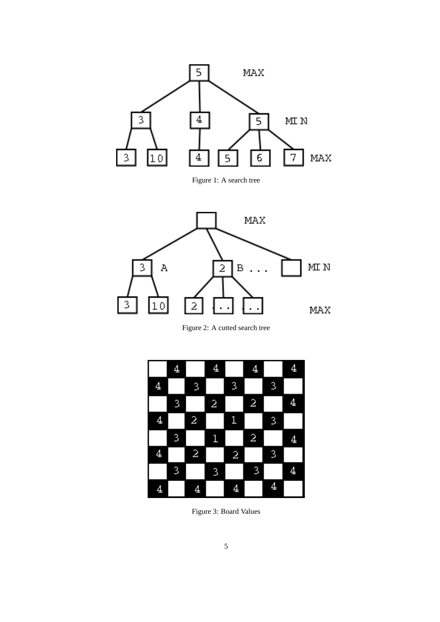

<span id="page-5-0"></span>Figure 1: A search tree



<span id="page-5-1"></span>Figure 2: A cutted search tree

<span id="page-5-2"></span>

Figure 3: Board Values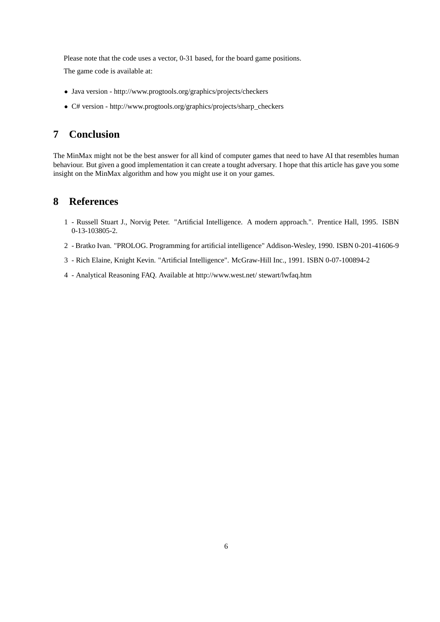Please note that the code uses a vector, 0-31 based, for the board game positions.

The game code is available at:

- Java version http://www.progtools.org/graphics/projects/checkers
- C# version http://www.progtools.org/graphics/projects/sharp\_checkers

## <span id="page-6-0"></span>**7 Conclusion**

The MinMax might not be the best answer for all kind of computer games that need to have AI that resembles human behaviour. But given a good implementation it can create a tought adversary. I hope that this article has gave you some insight on the MinMax algorithm and how you might use it on your games.

### <span id="page-6-1"></span>**8 References**

- 1 Russell Stuart J., Norvig Peter. "Artificial Intelligence. A modern approach.". Prentice Hall, 1995. ISBN 0-13-103805-2.
- 2 Bratko Ivan. "PROLOG. Programming for artificial intelligence" Addison-Wesley, 1990. ISBN 0-201-41606-9
- 3 Rich Elaine, Knight Kevin. "Artificial Intelligence". McGraw-Hill Inc., 1991. ISBN 0-07-100894-2
- 4 Analytical Reasoning FAQ. Available at http://www.west.net/ stewart/lwfaq.htm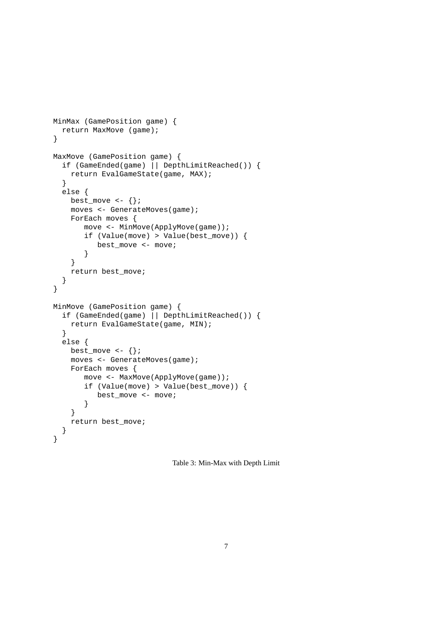```
MinMax (GamePosition game) {
  return MaxMove (game);
}
MaxMove (GamePosition game) {
  if (GameEnded(game) || DepthLimitReached()) {
   return EvalGameState(game, MAX);
  }
  else {
   best_move <- \{\};
    moves <- GenerateMoves(game);
    ForEach moves {
       move <- MinMove(ApplyMove(game));
       if (Value(move) > Value(best_move)) {
          best move <- move;
       }
    }
   return best_move;
  }
}
MinMove (GamePosition game) {
  if (GameEnded(game) || DepthLimitReached()) {
   return EvalGameState(game, MIN);
  }
  else {
    best_move \leftarrow \{\};
    moves <- GenerateMoves(game);
    ForEach moves {
       move <- MaxMove(ApplyMove(game));
       if (Value(move) > Value(best_move)) {
          best_move <- move;
       }
    }
   return best_move;
  }
}
```
<span id="page-7-0"></span>Table 3: Min-Max with Depth Limit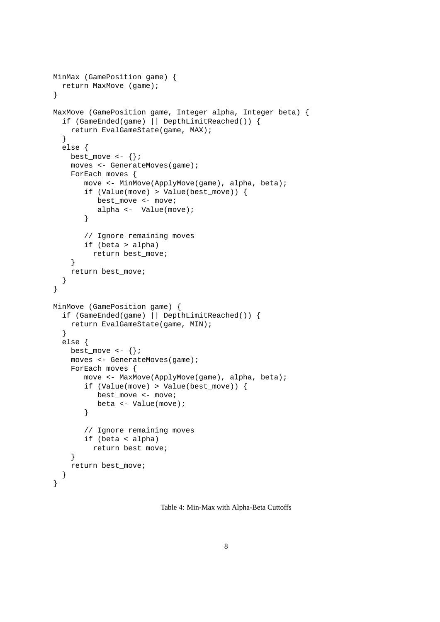```
MinMax (GamePosition game) {
  return MaxMove (game);
}
MaxMove (GamePosition game, Integer alpha, Integer beta) {
  if (GameEnded(game) || DepthLimitReached()) {
    return EvalGameState(game, MAX);
  }
  else {
    best_move \leftarrow \{\};
    moves <- GenerateMoves(game);
    ForEach moves {
       move <- MinMove(ApplyMove(game), alpha, beta);
       if (Value(move) > Value(best_move)) {
          best move <- move;
          alpha <- Value(move);
       }
       // Ignore remaining moves
       if (beta > alpha)
         return best_move;
    }
    return best_move;
  }
}
MinMove (GamePosition game) {
  if (GameEnded(game) || DepthLimitReached()) {
    return EvalGameState(game, MIN);
  }
  else {
    best_move \leftarrow \{\};
    moves <- GenerateMoves(game);
    ForEach moves {
       move <- MaxMove(ApplyMove(game), alpha, beta);
       if (Value(move) > Value(best_move)) {
          best_move <- move;
          beta <- Value(move);
       }
       // Ignore remaining moves
       if (beta < alpha)
         return best_move;
    }
    return best_move;
  }
}
```
<span id="page-8-0"></span>Table 4: Min-Max with Alpha-Beta Cuttoffs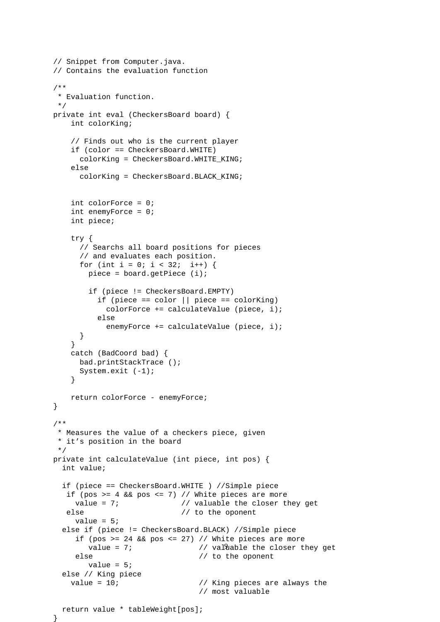```
// Snippet from Computer.java.
// Contains the evaluation function
/**
 * Evaluation function.
*/
private int eval (CheckersBoard board) {
   int colorKing;
    // Finds out who is the current player
    if (color == CheckersBoard.WHITE)
      colorKing = CheckersBoard.WHITE_KING;
   else
      colorKing = CheckersBoard.BLACK_KING;
    int colorForce = 0;
    int enemyForce = 0;
    int piece;
    try {
      // Searchs all board positions for pieces
      // and evaluates each position.
      for (int i = 0; i < 32; i++) {
       piece = board.getPiece (i);
        if (piece != CheckersBoard.EMPTY)
          if (piece == color || piece == colorKing)
            colorForce += calculateValue (piece, i);
          else
            enemyForce += calculateValue (piece, i);
      }
    }
   catch (BadCoord bad) {
     bad.printStackTrace ();
     System.exit (-1);
    }
   return colorForce - enemyForce;
}
/**
 * Measures the value of a checkers piece, given
 * it's position in the board
 */
private int calculateValue (int piece, int pos) {
 int value;
  if (piece == CheckersBoard.WHITE ) //Simple piece
  if (pos >= 4 && pos <= 7) // White pieces are more
    value = 7; \frac{1}{2} // valuable the closer they get
  else \frac{1}{2} // to the oponent
     value = 5;
  else if (piece != CheckersBoard.BLACK) //Simple piece
     if (pos >= 24 && pos <= 27) // White pieces are more
        value = 7; \hskip 1.0cm \hskip 1.0cm / \hskip 1.0cm // val\Omegaable the closer they get
     else \frac{1}{2} // to the oponent
       value = 5;
  else // King piece
   value = 10; \frac{1}{2} // King pieces are always the
                                 // most valuable
 return value * tableWeight[pos];
```
<span id="page-9-0"></span>}